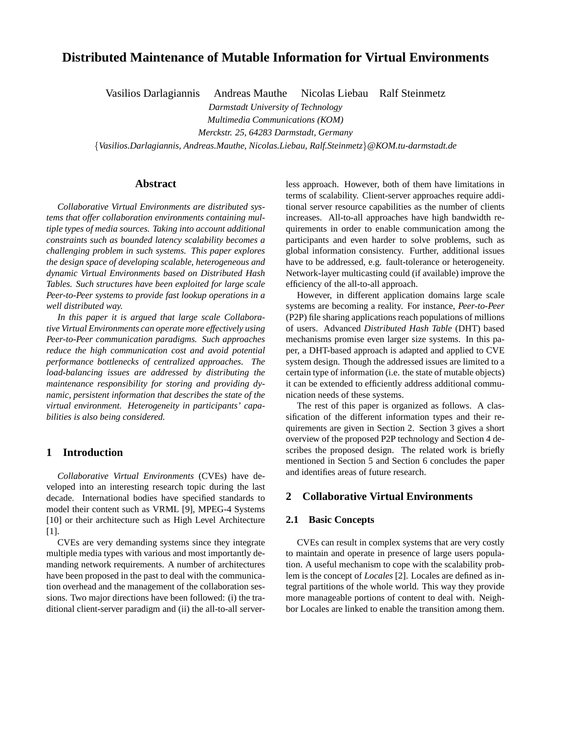# **Distributed Maintenance of Mutable Information for Virtual Environments**

Vasilios Darlagiannis Andreas Mauthe Nicolas Liebau Ralf Steinmetz

*Darmstadt University of Technology*

*Multimedia Communications (KOM)*

*Merckstr. 25, 64283 Darmstadt, Germany*

{*Vasilios.Darlagiannis, Andreas.Mauthe, Nicolas.Liebau, Ralf.Steinmetz*}*@KOM.tu-darmstadt.de*

# **Abstract**

*Collaborative Virtual Environments are distributed systems that offer collaboration environments containing multiple types of media sources. Taking into account additional constraints such as bounded latency scalability becomes a challenging problem in such systems. This paper explores the design space of developing scalable, heterogeneous and dynamic Virtual Environments based on Distributed Hash Tables. Such structures have been exploited for large scale Peer-to-Peer systems to provide fast lookup operations in a well distributed way.*

*In this paper it is argued that large scale Collaborative Virtual Environments can operate more effectively using Peer-to-Peer communication paradigms. Such approaches reduce the high communication cost and avoid potential performance bottlenecks of centralized approaches. The load-balancing issues are addressed by distributing the maintenance responsibility for storing and providing dynamic, persistent information that describes the state of the virtual environment. Heterogeneity in participants' capabilities is also being considered.*

# **1 Introduction**

*Collaborative Virtual Environments* (CVEs) have developed into an interesting research topic during the last decade. International bodies have specified standards to model their content such as VRML [9], MPEG-4 Systems [10] or their architecture such as High Level Architecture [1].

CVEs are very demanding systems since they integrate multiple media types with various and most importantly demanding network requirements. A number of architectures have been proposed in the past to deal with the communication overhead and the management of the collaboration sessions. Two major directions have been followed: (i) the traditional client-server paradigm and (ii) the all-to-all serverless approach. However, both of them have limitations in terms of scalability. Client-server approaches require additional server resource capabilities as the number of clients increases. All-to-all approaches have high bandwidth requirements in order to enable communication among the participants and even harder to solve problems, such as global information consistency. Further, additional issues have to be addressed, e.g. fault-tolerance or heterogeneity. Network-layer multicasting could (if available) improve the efficiency of the all-to-all approach.

However, in different application domains large scale systems are becoming a reality. For instance, *Peer-to-Peer* (P2P) file sharing applications reach populations of millions of users. Advanced *Distributed Hash Table* (DHT) based mechanisms promise even larger size systems. In this paper, a DHT-based approach is adapted and applied to CVE system design. Though the addressed issues are limited to a certain type of information (i.e. the state of mutable objects) it can be extended to efficiently address additional communication needs of these systems.

The rest of this paper is organized as follows. A classification of the different information types and their requirements are given in Section 2. Section 3 gives a short overview of the proposed P2P technology and Section 4 describes the proposed design. The related work is briefly mentioned in Section 5 and Section 6 concludes the paper and identifies areas of future research.

# **2 Collaborative Virtual Environments**

#### **2.1 Basic Concepts**

CVEs can result in complex systems that are very costly to maintain and operate in presence of large users population. A useful mechanism to cope with the scalability problem is the concept of *Locales* [2]. Locales are defined as integral partitions of the whole world. This way they provide more manageable portions of content to deal with. Neighbor Locales are linked to enable the transition among them.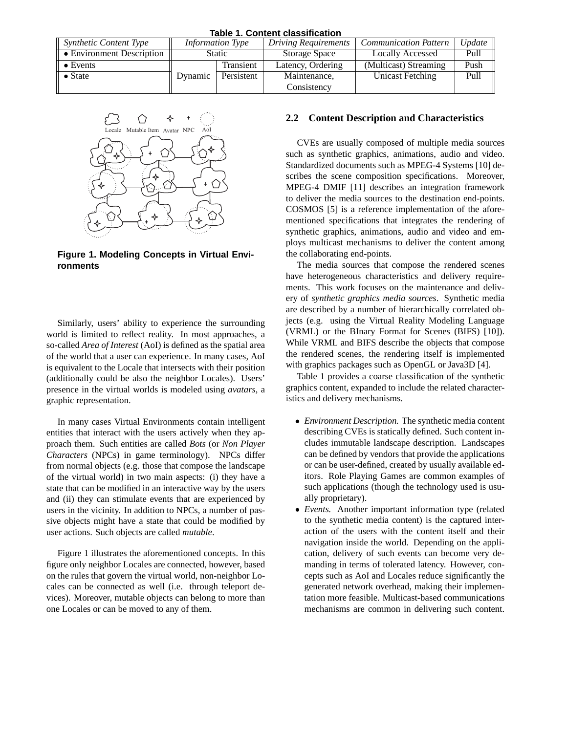| <b>Table 1. Content classification</b> |                         |            |                             |                              |        |
|----------------------------------------|-------------------------|------------|-----------------------------|------------------------------|--------|
| <b>Synthetic Content Type</b>          | <b>Information Type</b> |            | <b>Driving Requirements</b> | <b>Communication Pattern</b> | Update |
| • Environment Description              | Static                  |            | Storage Space               | <b>Locally Accessed</b>      | Pull   |
| $\bullet$ Events                       |                         | Transient  | Latency, Ordering           | (Multicast) Streaming        | Push   |
| $\bullet$ State                        | Dynamic                 | Persistent | Maintenance,                | Unicast Fetching             | Pull   |
|                                        |                         |            | Consistency                 |                              |        |



**Figure 1. Modeling Concepts in Virtual Environments**

Similarly, users' ability to experience the surrounding world is limited to reflect reality. In most approaches, a so-called *Area of Interest* (AoI) is defined as the spatial area of the world that a user can experience. In many cases, AoI is equivalent to the Locale that intersects with their position (additionally could be also the neighbor Locales). Users' presence in the virtual worlds is modeled using *avatars*, a graphic representation.

In many cases Virtual Environments contain intelligent entities that interact with the users actively when they approach them. Such entities are called *Bots* (or *Non Player Characters* (NPCs) in game terminology). NPCs differ from normal objects (e.g. those that compose the landscape of the virtual world) in two main aspects: (i) they have a state that can be modified in an interactive way by the users and (ii) they can stimulate events that are experienced by users in the vicinity. In addition to NPCs, a number of passive objects might have a state that could be modified by user actions. Such objects are called *mutable*.

Figure 1 illustrates the aforementioned concepts. In this figure only neighbor Locales are connected, however, based on the rules that govern the virtual world, non-neighbor Locales can be connected as well (i.e. through teleport devices). Moreover, mutable objects can belong to more than one Locales or can be moved to any of them.

## **2.2 Content Description and Characteristics**

CVEs are usually composed of multiple media sources such as synthetic graphics, animations, audio and video. Standardized documents such as MPEG-4 Systems [10] describes the scene composition specifications. Moreover, MPEG-4 DMIF [11] describes an integration framework to deliver the media sources to the destination end-points. COSMOS [5] is a reference implementation of the aforementioned specifications that integrates the rendering of synthetic graphics, animations, audio and video and employs multicast mechanisms to deliver the content among the collaborating end-points.

The media sources that compose the rendered scenes have heterogeneous characteristics and delivery requirements. This work focuses on the maintenance and delivery of *synthetic graphics media sources*. Synthetic media are described by a number of hierarchically correlated objects (e.g. using the Virtual Reality Modeling Language (VRML) or the BInary Format for Scenes (BIFS) [10]). While VRML and BIFS describe the objects that compose the rendered scenes, the rendering itself is implemented with graphics packages such as OpenGL or Java3D [4].

Table 1 provides a coarse classification of the synthetic graphics content, expanded to include the related characteristics and delivery mechanisms.

- *Environment Description.* The synthetic media content describing CVEs is statically defined. Such content includes immutable landscape description. Landscapes can be defined by vendors that provide the applications or can be user-defined, created by usually available editors. Role Playing Games are common examples of such applications (though the technology used is usually proprietary).
- *Events.* Another important information type (related to the synthetic media content) is the captured interaction of the users with the content itself and their navigation inside the world. Depending on the application, delivery of such events can become very demanding in terms of tolerated latency. However, concepts such as AoI and Locales reduce significantly the generated network overhead, making their implementation more feasible. Multicast-based communications mechanisms are common in delivering such content.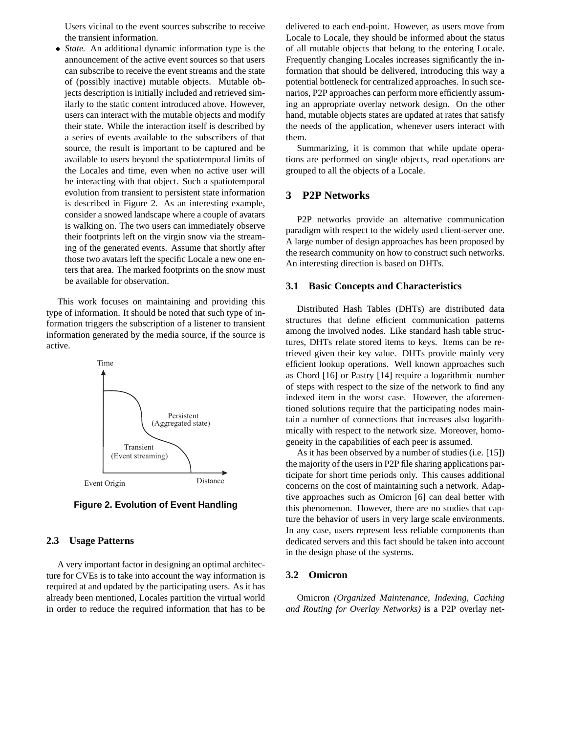Users vicinal to the event sources subscribe to receive the transient information.

• *State.* An additional dynamic information type is the announcement of the active event sources so that users can subscribe to receive the event streams and the state of (possibly inactive) mutable objects. Mutable objects description is initially included and retrieved similarly to the static content introduced above. However, users can interact with the mutable objects and modify their state. While the interaction itself is described by a series of events available to the subscribers of that source, the result is important to be captured and be available to users beyond the spatiotemporal limits of the Locales and time, even when no active user will be interacting with that object. Such a spatiotemporal evolution from transient to persistent state information is described in Figure 2. As an interesting example, consider a snowed landscape where a couple of avatars is walking on. The two users can immediately observe their footprints left on the virgin snow via the streaming of the generated events. Assume that shortly after those two avatars left the specific Locale a new one enters that area. The marked footprints on the snow must be available for observation.

This work focuses on maintaining and providing this type of information. It should be noted that such type of information triggers the subscription of a listener to transient information generated by the media source, if the source is active.



**Figure 2. Evolution of Event Handling**

#### **2.3 Usage Patterns**

A very important factor in designing an optimal architecture for CVEs is to take into account the way information is required at and updated by the participating users. As it has already been mentioned, Locales partition the virtual world in order to reduce the required information that has to be

delivered to each end-point. However, as users move from Locale to Locale, they should be informed about the status of all mutable objects that belong to the entering Locale. Frequently changing Locales increases significantly the information that should be delivered, introducing this way a potential bottleneck for centralized approaches. In such scenarios, P2P approaches can perform more efficiently assuming an appropriate overlay network design. On the other hand, mutable objects states are updated at rates that satisfy the needs of the application, whenever users interact with them.

Summarizing, it is common that while update operations are performed on single objects, read operations are grouped to all the objects of a Locale.

### **3 P2P Networks**

P2P networks provide an alternative communication paradigm with respect to the widely used client-server one. A large number of design approaches has been proposed by the research community on how to construct such networks. An interesting direction is based on DHTs.

#### **3.1 Basic Concepts and Characteristics**

Distributed Hash Tables (DHTs) are distributed data structures that define efficient communication patterns among the involved nodes. Like standard hash table structures, DHTs relate stored items to keys. Items can be retrieved given their key value. DHTs provide mainly very efficient lookup operations. Well known approaches such as Chord [16] or Pastry [14] require a logarithmic number of steps with respect to the size of the network to find any indexed item in the worst case. However, the aforementioned solutions require that the participating nodes maintain a number of connections that increases also logarithmically with respect to the network size. Moreover, homogeneity in the capabilities of each peer is assumed.

As it has been observed by a number of studies (i.e. [15]) the majority of the users in P2P file sharing applications participate for short time periods only. This causes additional concerns on the cost of maintaining such a network. Adaptive approaches such as Omicron [6] can deal better with this phenomenon. However, there are no studies that capture the behavior of users in very large scale environments. In any case, users represent less reliable components than dedicated servers and this fact should be taken into account in the design phase of the systems.

#### **3.2 Omicron**

Omicron *(Organized Maintenance, Indexing, Caching and Routing for Overlay Networks)* is a P2P overlay net-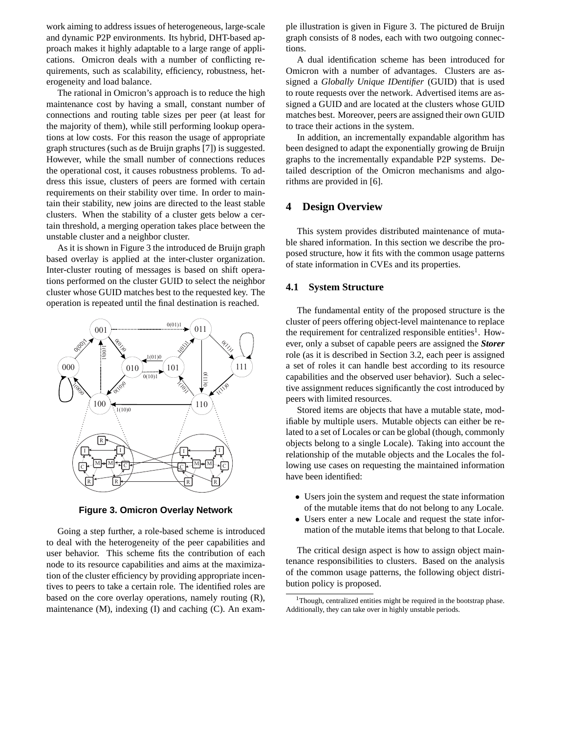work aiming to address issues of heterogeneous, large-scale and dynamic P2P environments. Its hybrid, DHT-based approach makes it highly adaptable to a large range of applications. Omicron deals with a number of conflicting requirements, such as scalability, efficiency, robustness, heterogeneity and load balance.

The rational in Omicron's approach is to reduce the high maintenance cost by having a small, constant number of connections and routing table sizes per peer (at least for the majority of them), while still performing lookup operations at low costs. For this reason the usage of appropriate graph structures (such as de Bruijn graphs [7]) is suggested. However, while the small number of connections reduces the operational cost, it causes robustness problems. To address this issue, clusters of peers are formed with certain requirements on their stability over time. In order to maintain their stability, new joins are directed to the least stable clusters. When the stability of a cluster gets below a certain threshold, a merging operation takes place between the unstable cluster and a neighbor cluster.

As it is shown in Figure 3 the introduced de Bruijn graph based overlay is applied at the inter-cluster organization. Inter-cluster routing of messages is based on shift operations performed on the cluster GUID to select the neighbor cluster whose GUID matches best to the requested key. The operation is repeated until the final destination is reached.



**Figure 3. Omicron Overlay Network**

Going a step further, a role-based scheme is introduced to deal with the heterogeneity of the peer capabilities and user behavior. This scheme fits the contribution of each node to its resource capabilities and aims at the maximization of the cluster efficiency by providing appropriate incentives to peers to take a certain role. The identified roles are based on the core overlay operations, namely routing (R), maintenance (M), indexing (I) and caching (C). An example illustration is given in Figure 3. The pictured de Bruijn graph consists of 8 nodes, each with two outgoing connections.

A dual identification scheme has been introduced for Omicron with a number of advantages. Clusters are assigned a *Globally Unique IDentifier* (GUID) that is used to route requests over the network. Advertised items are assigned a GUID and are located at the clusters whose GUID matches best. Moreover, peers are assigned their own GUID to trace their actions in the system.

In addition, an incrementally expandable algorithm has been designed to adapt the exponentially growing de Bruijn graphs to the incrementally expandable P2P systems. Detailed description of the Omicron mechanisms and algorithms are provided in [6].

## **4 Design Overview**

This system provides distributed maintenance of mutable shared information. In this section we describe the proposed structure, how it fits with the common usage patterns of state information in CVEs and its properties.

#### **4.1 System Structure**

The fundamental entity of the proposed structure is the cluster of peers offering object-level maintenance to replace the requirement for centralized responsible entities<sup>1</sup>. However, only a subset of capable peers are assigned the *Storer* role (as it is described in Section 3.2, each peer is assigned a set of roles it can handle best according to its resource capabilities and the observed user behavior). Such a selective assignment reduces significantly the cost introduced by peers with limited resources.

Stored items are objects that have a mutable state, modifiable by multiple users. Mutable objects can either be related to a set of Locales or can be global (though, commonly objects belong to a single Locale). Taking into account the relationship of the mutable objects and the Locales the following use cases on requesting the maintained information have been identified:

- Users join the system and request the state information of the mutable items that do not belong to any Locale.
- Users enter a new Locale and request the state information of the mutable items that belong to that Locale.

The critical design aspect is how to assign object maintenance responsibilities to clusters. Based on the analysis of the common usage patterns, the following object distribution policy is proposed.

 $1$ Though, centralized entities might be required in the bootstrap phase. Additionally, they can take over in highly unstable periods.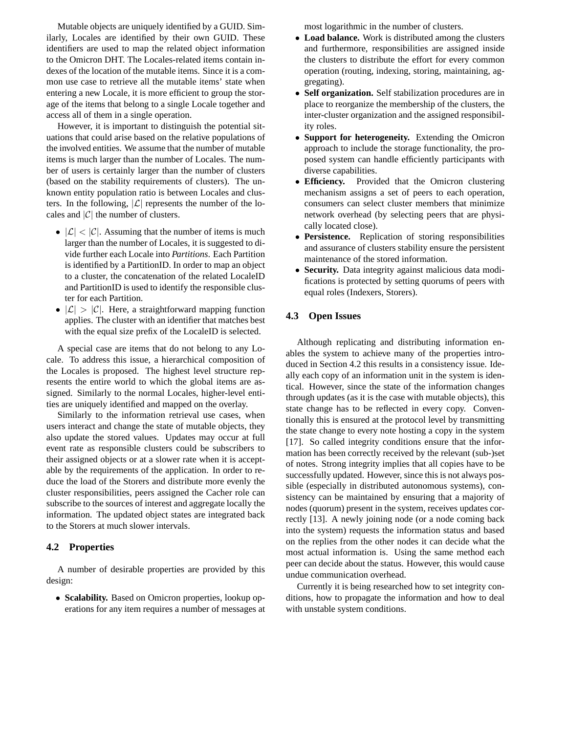Mutable objects are uniquely identified by a GUID. Similarly, Locales are identified by their own GUID. These identifiers are used to map the related object information to the Omicron DHT. The Locales-related items contain indexes of the location of the mutable items. Since it is a common use case to retrieve all the mutable items' state when entering a new Locale, it is more efficient to group the storage of the items that belong to a single Locale together and access all of them in a single operation.

However, it is important to distinguish the potential situations that could arise based on the relative populations of the involved entities. We assume that the number of mutable items is much larger than the number of Locales. The number of users is certainly larger than the number of clusters (based on the stability requirements of clusters). The unknown entity population ratio is between Locales and clusters. In the following,  $|\mathcal{L}|$  represents the number of the locales and  $|C|$  the number of clusters.

- $|\mathcal{L}| < |\mathcal{C}|$ . Assuming that the number of items is much larger than the number of Locales, it is suggested to divide further each Locale into *Partitions*. Each Partition is identified by a PartitionID. In order to map an object to a cluster, the concatenation of the related LocaleID and PartitionID is used to identify the responsible cluster for each Partition.
- $|\mathcal{L}| > |\mathcal{C}|$ . Here, a straightforward mapping function applies. The cluster with an identifier that matches best with the equal size prefix of the LocaleID is selected.

A special case are items that do not belong to any Locale. To address this issue, a hierarchical composition of the Locales is proposed. The highest level structure represents the entire world to which the global items are assigned. Similarly to the normal Locales, higher-level entities are uniquely identified and mapped on the overlay.

Similarly to the information retrieval use cases, when users interact and change the state of mutable objects, they also update the stored values. Updates may occur at full event rate as responsible clusters could be subscribers to their assigned objects or at a slower rate when it is acceptable by the requirements of the application. In order to reduce the load of the Storers and distribute more evenly the cluster responsibilities, peers assigned the Cacher role can subscribe to the sources of interest and aggregate locally the information. The updated object states are integrated back to the Storers at much slower intervals.

#### **4.2 Properties**

A number of desirable properties are provided by this design:

• **Scalability.** Based on Omicron properties, lookup operations for any item requires a number of messages at most logarithmic in the number of clusters.

- **Load balance.** Work is distributed among the clusters and furthermore, responsibilities are assigned inside the clusters to distribute the effort for every common operation (routing, indexing, storing, maintaining, aggregating).
- **Self organization.** Self stabilization procedures are in place to reorganize the membership of the clusters, the inter-cluster organization and the assigned responsibility roles.
- **Support for heterogeneity.** Extending the Omicron approach to include the storage functionality, the proposed system can handle efficiently participants with diverse capabilities.
- **Efficiency.** Provided that the Omicron clustering mechanism assigns a set of peers to each operation, consumers can select cluster members that minimize network overhead (by selecting peers that are physically located close).
- **Persistence.** Replication of storing responsibilities and assurance of clusters stability ensure the persistent maintenance of the stored information.
- **Security.** Data integrity against malicious data modifications is protected by setting quorums of peers with equal roles (Indexers, Storers).

### **4.3 Open Issues**

Although replicating and distributing information enables the system to achieve many of the properties introduced in Section 4.2 this results in a consistency issue. Ideally each copy of an information unit in the system is identical. However, since the state of the information changes through updates (as it is the case with mutable objects), this state change has to be reflected in every copy. Conventionally this is ensured at the protocol level by transmitting the state change to every note hosting a copy in the system [17]. So called integrity conditions ensure that the information has been correctly received by the relevant (sub-)set of notes. Strong integrity implies that all copies have to be successfully updated. However, since this is not always possible (especially in distributed autonomous systems), consistency can be maintained by ensuring that a majority of nodes (quorum) present in the system, receives updates correctly [13]. A newly joining node (or a node coming back into the system) requests the information status and based on the replies from the other nodes it can decide what the most actual information is. Using the same method each peer can decide about the status. However, this would cause undue communication overhead.

Currently it is being researched how to set integrity conditions, how to propagate the information and how to deal with unstable system conditions.